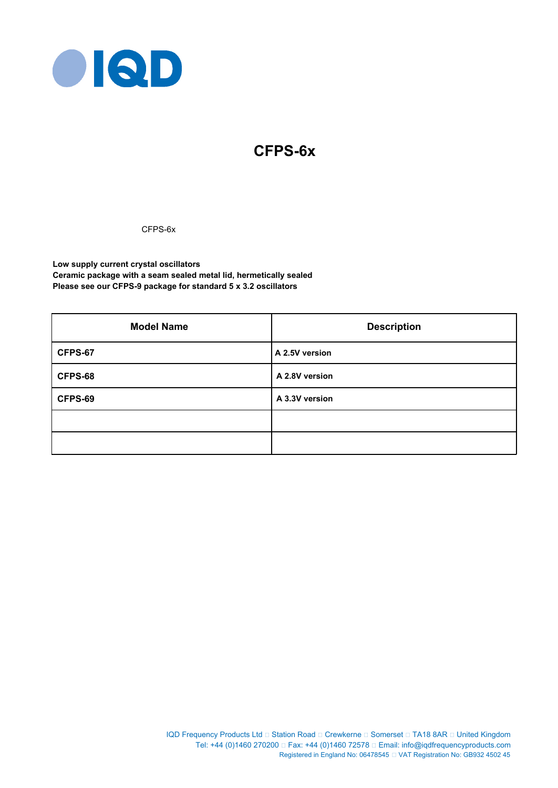

# **CFPS-6x**

CFPS-6x

**Low supply current crystal oscillators Ceramic package with a seam sealed metal lid, hermetically sealed Please see our CFPS-9 package for standard 5 x 3.2 oscillators**

| <b>Model Name</b> | <b>Description</b> |  |  |
|-------------------|--------------------|--|--|
| CFPS-67           | A 2.5V version     |  |  |
| CFPS-68           | A 2.8V version     |  |  |
| CFPS-69           | A 3.3V version     |  |  |
|                   |                    |  |  |
|                   |                    |  |  |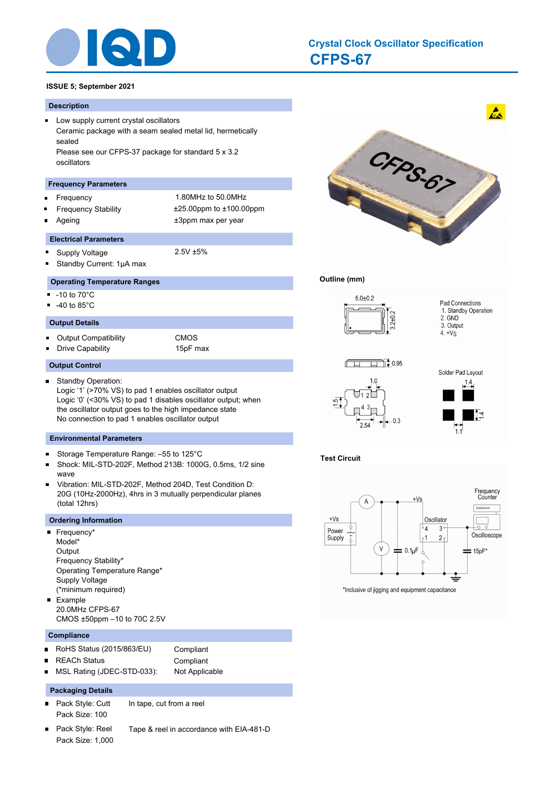

# **CFPS-67 Crystal Clock Oscillator Specification**

# **ISSUE 5; September 2021**

#### **Description**

**Low supply current crystal oscillators** Ceramic package with a seam sealed metal lid, hermetically sealed Please see our CFPS-37 package for standard 5 x 3.2 oscillators

#### **Frequency Parameters**

 $\blacksquare$ 

Ē

- 
- Frequency 1.80MHz to 50.0MHz Frequency Stability ±25.00ppm to ±100.00ppm Ageing the theorem of the three states of the three states  $\pm 3$ ppm max per year

#### **Electrical Parameters**

- $\blacksquare$ Supply Voltage 2.5V ±5%
	- Standby Current: 1μA max

#### **Operating Temperature Ranges**

- $-10$  to  $70^{\circ}$ C
- П -40 to 85°C
- **Output Details**
- 
- $\blacksquare$ Output Compatibility CMOS o.

Drive Capability 15pF max

#### **Output Control**

Standby Operation:  $\blacksquare$ Logic '1' (>70% VS) to pad 1 enables oscillator output Logic '0' (<30% VS) to pad 1 disables oscillator output; when the oscillator output goes to the high impedance state No connection to pad 1 enables oscillator output

#### **Environmental Parameters**

- Storage Temperature Range: –55 to 125°C
- Shock: MIL-STD-202F, Method 213B: 1000G, 0.5ms, 1/2 sine wave
- Vibration: MIL-STD-202F, Method 204D, Test Condition D: 20G (10Hz-2000Hz), 4hrs in 3 mutually perpendicular planes (total 12hrs)

#### **Ordering Information**

- **Frequency\*** Model\* **Output** Frequency Stability\* Operating Temperature Range\* Supply Voltage (\*minimum required) **Example** 
	- 20.0MHz CFPS-67 CMOS ±50ppm –10 to 70C 2.5V

#### **Compliance**

- RoHS Status (2015/863/EU) Compliant  $\blacksquare$ 
	- REACh Status **Compliant**
- MSL Rating (JDEC-STD-033): Not Applicable

#### **Packaging Details**

- $\blacksquare$ Pack Style: Cutt In tape, cut from a reel Pack Size: 100
- $\blacksquare$ Pack Style: Reel Tape & reel in accordance with EIA-481-D Pack Size: 1,000



### **Outline (mm)**



**Test Circuit**



\*Inclusive of jigging and equipment capacitance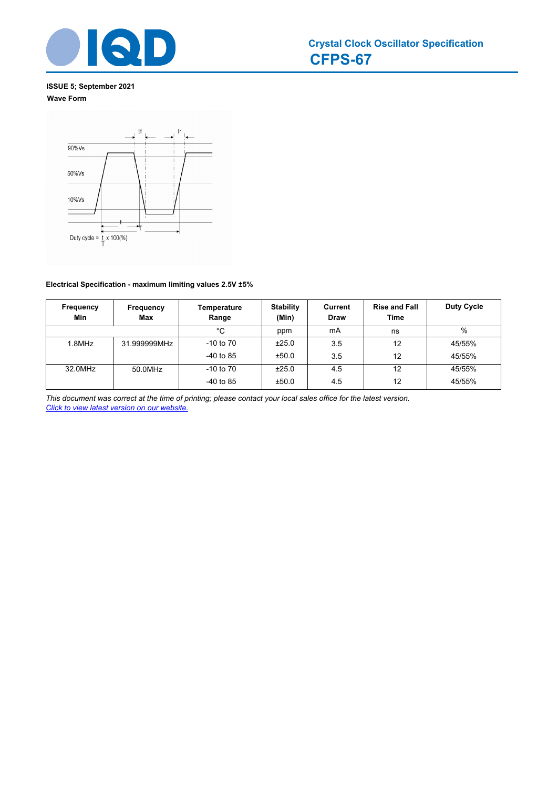

# **ISSUE 5; September 2021 Wave Form**



# **Electrical Specification - maximum limiting values 2.5V ±5%**

| Frequency<br>Min | Frequency<br><b>Max</b> | Temperature<br>Range | <b>Stability</b><br>(Min) | Current<br>Draw | <b>Rise and Fall</b><br>Time | <b>Duty Cycle</b> |
|------------------|-------------------------|----------------------|---------------------------|-----------------|------------------------------|-------------------|
|                  |                         | °C                   | ppm                       | mA              | ns                           | $\%$              |
| 1.8MHz           | 31.999999MHz            | $-10$ to $70$        | ±25.0                     | 3.5             | 12                           | 45/55%            |
|                  |                         | $-40$ to 85          | ±50.0                     | 3.5             | 12                           | 45/55%            |
| 32.0MHz          | 50.0MHz                 | $-10$ to $70$        | ±25.0                     | 4.5             | 12                           | 45/55%            |
|                  |                         | $-40$ to 85          | ±50.0                     | 4.5             | 12                           | 45/55%            |

*This document was correct at the time of printing; please contact your local sales office for the latest version. Click to view latest version on our website.*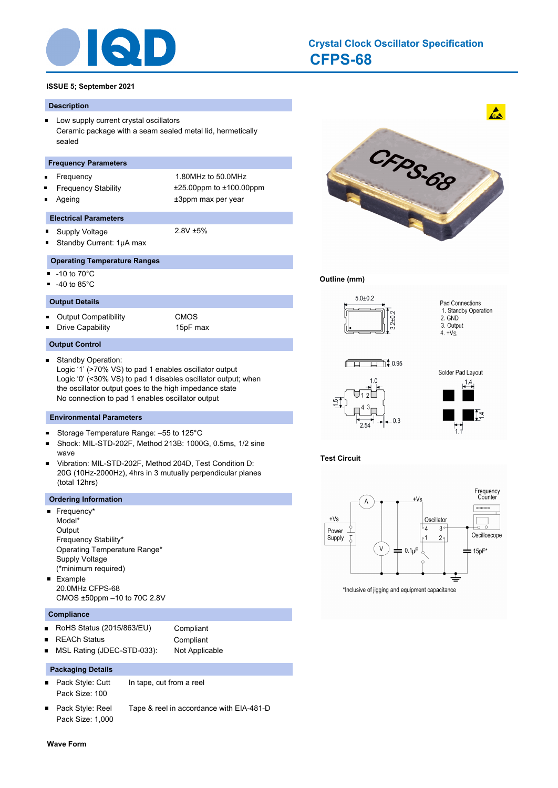

# **CFPS-68 Crystal Clock Oscillator Specification**

# **ISSUE 5; September 2021**

#### **Description**

**Low supply current crystal oscillators** Ceramic package with a seam sealed metal lid, hermetically sealed

#### **Frequency Parameters**

- Frequency 1.80MHz to 50.0MHz
- Frequency Stability ±25.00ppm to ±100.00ppm
- Ageing  $\pm 3$ ppm max per year

#### **Electrical Parameters**

- $\blacksquare$ Supply Voltage 2.8V ±5%
	- Standby Current: 1μA max

# **Operating Temperature Ranges**

-10 to 70°C

o,

-40 to 85°C  $\blacksquare$ 

#### **Output Details**

Output Compatibility CMOS  $\blacksquare$ Drive Capability 15pF max

#### **Output Control**

Standby Operation: Logic '1' (>70% VS) to pad 1 enables oscillator output Logic '0' (<30% VS) to pad 1 disables oscillator output; when the oscillator output goes to the high impedance state No connection to pad 1 enables oscillator output

#### **Environmental Parameters**

- Storage Temperature Range: –55 to 125°C  $\blacksquare$
- $\blacksquare$ Shock: MIL-STD-202F, Method 213B: 1000G, 0.5ms, 1/2 sine wave
- Vibration: MIL-STD-202F, Method 204D, Test Condition D:  $\blacksquare$ 20G (10Hz-2000Hz), 4hrs in 3 mutually perpendicular planes (total 12hrs)

#### **Ordering Information**

- Frequency\* ٠ Model\* **Output** Frequency Stability\* Operating Temperature Range\* Supply Voltage (\*minimum required) **Example** 20.0MHz CFPS-68
	- CMOS ±50ppm –10 to 70C 2.8V

#### **Compliance**

- RoHS Status (2015/863/EU) Compliant  $\blacksquare$ 
	- REACh Status **Compliant**
- MSL Rating (JDEC-STD-033): Not Applicable  $\blacksquare$

#### **Packaging Details**

- Pack Style: Cutt In tape, cut from a reel  $\blacksquare$  . Pack Size: 100
- Pack Style: Reel Tape & reel in accordance with EIA-481-D Pack Size: 1,000



### **Outline (mm)**



**Test Circuit**



\*Inclusive of jigging and equipment capacitance

**Wave Form**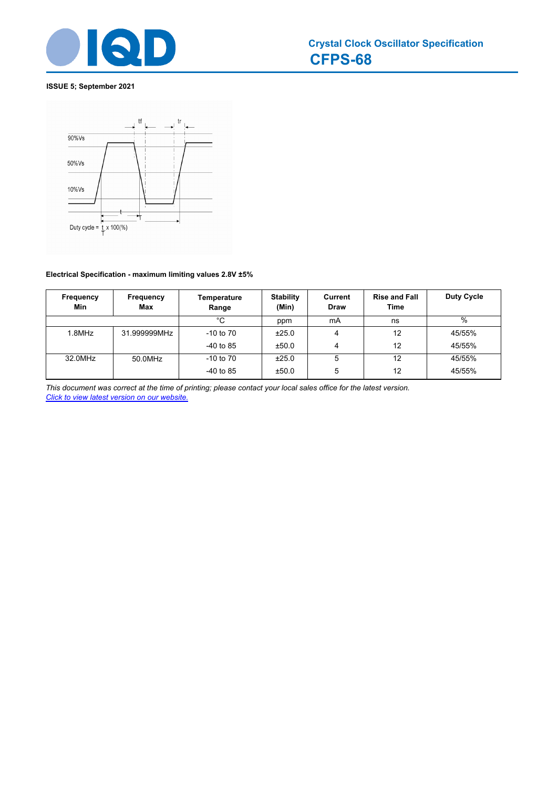

# **ISSUE 5; September 2021**



# **Electrical Specification - maximum limiting values 2.8V ±5%**

| Frequency<br>Min | Frequency<br>Max | Temperature<br>Range | <b>Stability</b><br>(Min) | Current<br>Draw | <b>Rise and Fall</b><br>Time | <b>Duty Cycle</b> |
|------------------|------------------|----------------------|---------------------------|-----------------|------------------------------|-------------------|
|                  |                  | °C                   | ppm                       | mA              | ns                           | $\frac{0}{0}$     |
| 1.8MHz           | 31.999999MHz     | $-10$ to $70$        | ±25.0                     | 4               | 12                           | 45/55%            |
|                  |                  | $-40$ to 85          | ±50.0                     | 4               | 12                           | 45/55%            |
| 32.0MHz          | 50.0MHz          | $-10$ to $70$        | ±25.0                     | 5               | 12                           | 45/55%            |
|                  |                  | $-40$ to 85          | ±50.0                     | 5               | 12                           | 45/55%            |

*This document was correct at the time of printing; please contact your local sales office for the latest version. Click to view latest version on our website.*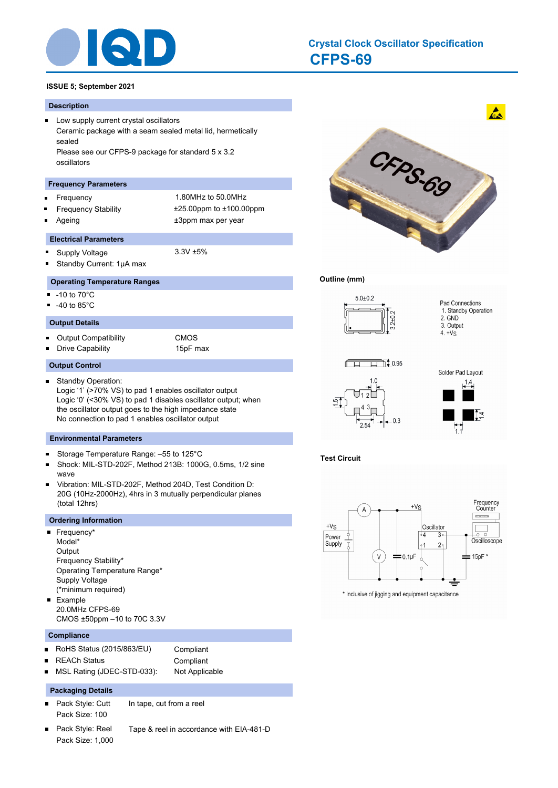

# **CFPS-69 Crystal Clock Oscillator Specification**

# **ISSUE 5; September 2021**

#### **Description**

**Low supply current crystal oscillators** Ceramic package with a seam sealed metal lid, hermetically sealed Please see our CFPS-9 package for standard 5 x 3.2 oscillators

#### **Frequency Parameters**

Frequency 1.80MHz to 50.0MHz  $\blacksquare$ 

Ē

 $\blacksquare$ 

- 
- Frequency Stability ±25.00ppm to ±100.00ppm Ageing the theorem of the three states of the three states  $\pm 3$ ppm max per year

#### **Electrical Parameters**

- $\blacksquare$ Supply Voltage 3.3V ±5%
	- Standby Current: 1μA max

#### **Operating Temperature Ranges**

- $-10$  to  $70^{\circ}$ C
- П -40 to 85°C
- **Output Details**
- $\blacksquare$ Output Compatibility CMOS

Drive Capability **15pF** max

#### **Output Control**

Standby Operation:  $\blacksquare$ Logic '1' (>70% VS) to pad 1 enables oscillator output Logic '0' (<30% VS) to pad 1 disables oscillator output; when the oscillator output goes to the high impedance state No connection to pad 1 enables oscillator output

#### **Environmental Parameters**

- Storage Temperature Range: –55 to 125°C ×
- Shock: MIL-STD-202F, Method 213B: 1000G, 0.5ms, 1/2 sine wave
- Vibration: MIL-STD-202F, Method 204D, Test Condition D: 20G (10Hz-2000Hz), 4hrs in 3 mutually perpendicular planes (total 12hrs)

#### **Ordering Information**

- **Frequency\*** Model\* **Output** Frequency Stability\* Operating Temperature Range\* Supply Voltage (\*minimum required) Example o,
- 20.0MHz CFPS-69 CMOS ±50ppm –10 to 70C 3.3V

#### **Compliance**

- RoHS Status (2015/863/EU) Compliant  $\blacksquare$ 
	- REACh Status **Compliant**
- MSL Rating (JDEC-STD-033): Not Applicable

#### **Packaging Details**

- $\blacksquare$ Pack Style: Cutt In tape, cut from a reel Pack Size: 100
- $\blacksquare$ Pack Style: Reel Tape & reel in accordance with EIA-481-D Pack Size: 1,000



#### **Outline (mm)**



**Test Circuit**



\* Inclusive of jigging and equipment capacitance